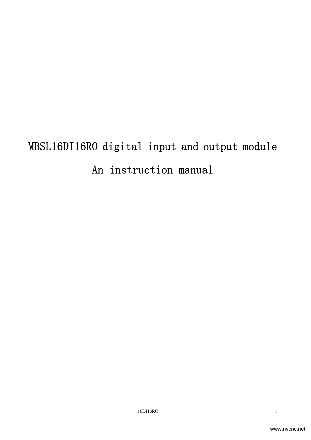# MBSL16DI16RO digital input and output module An instruction manual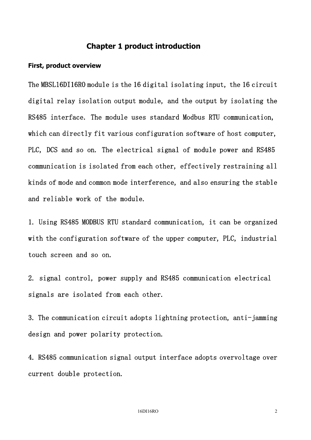#### Chapter 1 product introduction

#### First, product overview

The MBSL16DI16RO module is the 16 digital isolating input, the 16 circuit digital relay isolation output module, and the output by isolating the RS485 interface. The module uses standard Modbus RTU communication, which can directly fit various configuration software of host computer, PLC, DCS and so on. The electrical signal of module power and RS485 communication is isolated from each other, effectively restraining all kinds of mode and common mode interference, and also ensuring the stable and reliable work of the module.

1. Using RS485 MODBUS RTU standard communication, it can be organized with the configuration software of the upper computer, PLC, industrial touch screen and so on.

2. signal control, power supply and RS485 communication electrical signals are isolated from each other.

3. The communication circuit adopts lightning protection, anti-jamming design and power polarity protection.

4. RS485 communication signal output interface adopts overvoltage over current double protection.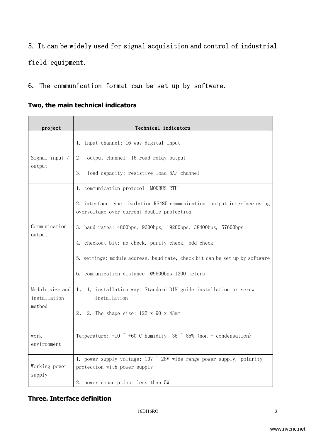# 5. It can be widely used for signal acquisition and control of industrial field equipment.

#### 6. The communication format can be set up by software.

|  |  |  | Two, the main technical indicators |
|--|--|--|------------------------------------|
|--|--|--|------------------------------------|

| project                         | Technical indicators                                                                                                   |  |  |  |  |  |  |
|---------------------------------|------------------------------------------------------------------------------------------------------------------------|--|--|--|--|--|--|
|                                 | 1. Input channel: 16 way digital input                                                                                 |  |  |  |  |  |  |
| Signal input /                  | 2.<br>output channel: 16 road relay output                                                                             |  |  |  |  |  |  |
| output                          | 3.<br>load capacity: resistive load 5A/ channel                                                                        |  |  |  |  |  |  |
|                                 | 1. communication protocol: MODBUS-RTU                                                                                  |  |  |  |  |  |  |
|                                 | 2. interface type: isolation RS485 communication, output interface using<br>overvoltage over current double protection |  |  |  |  |  |  |
| Communication<br>output         | 3. baud rates: 4800bps, 9600bps, 19200bps, 38400bps, 57600bps                                                          |  |  |  |  |  |  |
|                                 | 4. checkout bit: no check, parity check, odd check                                                                     |  |  |  |  |  |  |
|                                 | 5. settings: module address, baud rate, check bit can be set up by software                                            |  |  |  |  |  |  |
|                                 | 6. communication distance: @9600bps 1200 meters                                                                        |  |  |  |  |  |  |
| Module size and<br>installation | 1, 1, installation way: Standard DIN guide installation or screw<br>installation                                       |  |  |  |  |  |  |
| method                          | $2\sim$<br>2. The shape size: $125 \times 90 \times 43$ mm                                                             |  |  |  |  |  |  |
| work<br>environment             | Temperature: $-10$ $\degree$ +60 C humidity: 35 $\degree$ 85% (non - condensation)                                     |  |  |  |  |  |  |
| Working power                   | 1. power supply voltage: 10V ~ 28V wide range power supply, polarity<br>protection with power supply                   |  |  |  |  |  |  |
| supply                          | 2. power consumption: less than 5W                                                                                     |  |  |  |  |  |  |

#### Three. Interface definition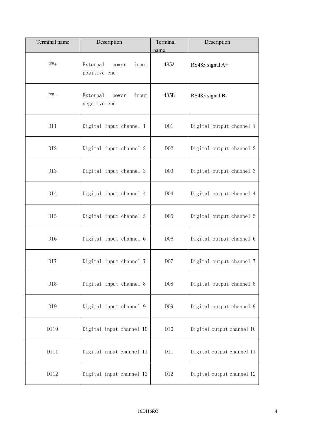| Terminal name   | Description                                | Terminal<br>name | Description               |
|-----------------|--------------------------------------------|------------------|---------------------------|
| $PW+$           | External<br>power<br>input<br>positive end | 485A             | RS485 signal A+           |
| $PW-$           | External<br>input<br>power<br>negative end | 485B             | RS485 signal B-           |
| DI1             | Digital input channel 1                    | D <sub>01</sub>  | Digital output channel 1  |
| DI2             | Digital input channel 2                    | D02              | Digital output channel 2  |
| DI3             | Digital input channel 3                    | D03              | Digital output channel 3  |
| DI4             | Digital input channel 4                    | D04              | Digital output channel 4  |
| DI5             | Digital input channel 5                    | D <sub>05</sub>  | Digital output channel 5  |
| DI <sub>6</sub> | Digital input channel 6                    | D <sub>06</sub>  | Digital output channel 6  |
| DI7             | Digital input channel 7                    | D07              | Digital output channel 7  |
| DI8             | Digital input channel 8                    | D08              | Digital output channel 8  |
| DI9             | Digital input channel 9                    | D <sub>0</sub> 9 | Digital output channel 9  |
| DI10            | Digital input channel 10                   | D10              | Digital output channel 10 |
| DI11            | Digital input channel 11                   | D11              | Digital output channel 11 |
| DI12            | Digital input channel 12                   | D12              | Digital output channel 12 |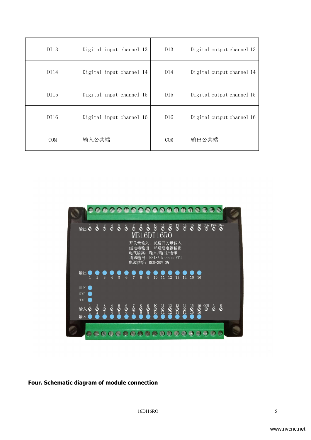| DI13       | Digital input channel 13 | D13        | Digital output channel 13 |
|------------|--------------------------|------------|---------------------------|
| DI 14      | Digital input channel 14 | D14        | Digital output channel 14 |
| DI15       | Digital input channel 15 | D15        | Digital output channel 15 |
| DI16       | Digital input channel 16 | D16        | Digital output channel 16 |
| <b>COM</b> | 输入公共端                    | <b>COM</b> | 输出公共端                     |



#### Four. Schematic diagram of module connection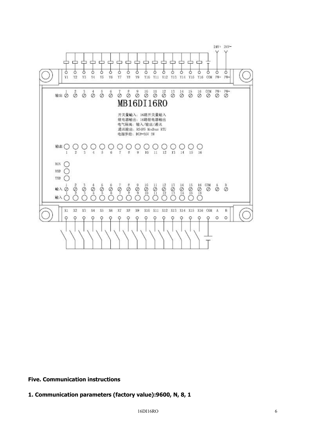

Five. Communication instructions

1. Communication parameters (factory value):9600, N, 8, 1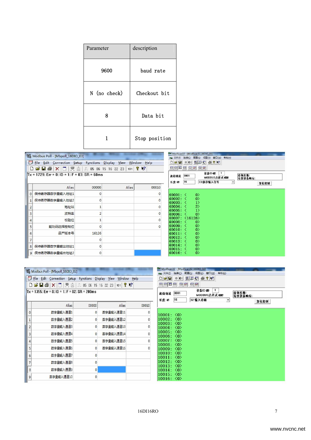| Parameter    | description   |  |  |
|--------------|---------------|--|--|
| 9600         | baud rate     |  |  |
| N (no check) | Checkout bit  |  |  |
| 8            | Data bit      |  |  |
|              | Stop position |  |  |

|   | Modbus Poll - [Mbpoll_16DIO_03]                               |       |       | ModScan32 - [ModScan32_16DIO_03]                                                                                                                                                                                                                                                                                                                    |                                                                                                            |  |
|---|---------------------------------------------------------------|-------|-------|-----------------------------------------------------------------------------------------------------------------------------------------------------------------------------------------------------------------------------------------------------------------------------------------------------------------------------------------------------|------------------------------------------------------------------------------------------------------------|--|
|   |                                                               |       |       |                                                                                                                                                                                                                                                                                                                                                     | B 文件(E) 连接(C) 配置(S) 视图(V) 窗口(W) 帮助(H)                                                                      |  |
|   | File Edit Connection Setup Functions Display View Window Help |       |       | $\begin{picture}(150,10) \put(0,0){\line(1,0){10}} \put(15,0){\line(1,0){10}} \put(15,0){\line(1,0){10}} \put(15,0){\line(1,0){10}} \put(15,0){\line(1,0){10}} \put(15,0){\line(1,0){10}} \put(15,0){\line(1,0){10}} \put(15,0){\line(1,0){10}} \put(15,0){\line(1,0){10}} \put(15,0){\line(1,0){10}} \put(15,0){\line(1,0){10}} \put(15,0){\line($ |                                                                                                            |  |
|   |                                                               |       |       |                                                                                                                                                                                                                                                                                                                                                     | $\boxed{50}$ $\boxed{10}$ $\boxed{13}$ $\boxed{50}$ $\boxed{50}$ $\boxed{50}$ $\boxed{50}$ $\boxed{50}$    |  |
|   | $Tx = 1729$ : Err = 0: ID = 1: F = 03: SR = 60ms              |       |       |                                                                                                                                                                                                                                                                                                                                                     | 设备ID(#<br>$\vert$ 1<br>查询次数:<br>有效设备响应:<br>起始地址 0001<br>MODBUS点样式OFFEE<br>16<br>03:保存输入信号<br>长度:02<br>复位控制 |  |
|   | Alias                                                         | 00000 | Alias | 00010                                                                                                                                                                                                                                                                                                                                               |                                                                                                            |  |
|   | 保持寄存器数字量输入地址1                                                 |       |       |                                                                                                                                                                                                                                                                                                                                                     | $\vert 0 \rangle$<br>$40001:$ <                                                                            |  |
|   | 保持寄存器数字量输入地址2                                                 |       |       |                                                                                                                                                                                                                                                                                                                                                     | 0 <sub>0</sub><br>$40002: \leq$<br>1<br>$40003: \leq$                                                      |  |
|   | 地址站                                                           |       |       |                                                                                                                                                                                                                                                                                                                                                     | $2\rangle$<br>40004:<br>1<br>40005:                                                                        |  |
| 3 | 波特率                                                           |       |       |                                                                                                                                                                                                                                                                                                                                                     | $\circ$<br>40006: <                                                                                        |  |
|   | 校验位                                                           |       |       |                                                                                                                                                                                                                                                                                                                                                     | 40007: 〈16126〉<br>$40008: \leq$<br>$\vert 0 \rangle$                                                       |  |
|   | 能功码选择控制位                                                      |       |       |                                                                                                                                                                                                                                                                                                                                                     | $\vert 0 \rangle$<br>$40009: \leq$<br>0 <sub>2</sub><br>$40010: \leq$                                      |  |
| 6 | 品产版本号                                                         | 16126 |       |                                                                                                                                                                                                                                                                                                                                                     | $\vert 0 \rangle$<br>40011:                                                                                |  |
|   |                                                               |       |       |                                                                                                                                                                                                                                                                                                                                                     | 0 <sub>2</sub><br>$40012: \leq$<br>$\vert 0 \rangle$<br>$40013: \leq$                                      |  |
| 8 | 保持寄存器数字量输出地址1                                                 |       |       |                                                                                                                                                                                                                                                                                                                                                     | 0 <sub>0</sub><br>$40014: \leq$<br>0 <sub>2</sub><br>$40015: \leq$                                         |  |
| 9 | 保持寄存器数字量输出地址2                                                 |       |       |                                                                                                                                                                                                                                                                                                                                                     | 0 <sub>0</sub><br>$40016: \leq$                                                                            |  |

|                | Modbus Poll - [Mbpoll_16DIO_02]                               |              |              | ModScan32 - [ModScan32 16DIO 02]<br>E 文件(E) 连接(C) 配置(S) 视图(V) 窗口(W)<br>帮助(H)                        |                                                          |  |  |
|----------------|---------------------------------------------------------------|--------------|--------------|-----------------------------------------------------------------------------------------------------|----------------------------------------------------------|--|--|
|                | File Edit Connection Setup Functions Display View Window Help |              |              |                                                                                                     |                                                          |  |  |
|                |                                                               |              |              | <b>a a b b b b c c</b>                                                                              |                                                          |  |  |
|                | $Tx = 1355$ : Err = 0: ID = 1: F = 02: SR = 200ms             |              |              | $\mathbf{1}$<br>设备ID (00)<br>查询次数:<br>起始地址 0001<br>MODBUS点样式()<br>有效设备响应:<br>16<br>02:输入诊断<br>长度:00 |                                                          |  |  |
|                | Alias                                                         | 00000        | <b>Alias</b> | 00010                                                                                               | 复位控制                                                     |  |  |
| $\mathbf{0}$   | 数字量输入通道1                                                      | $\mathbf{0}$ | 数字量输入通道11    |                                                                                                     | $10001: \langle 0 \rangle$                               |  |  |
|                | 数字量输入通道2                                                      |              | 数字量输入通道12    |                                                                                                     | $10002: \langle 0 \rangle$                               |  |  |
| $\overline{c}$ | 数字量输入通道3                                                      |              | 数字量输入通道13    |                                                                                                     | 10003:~ <b>0</b><br>$10004: \langle 0 \rangle$           |  |  |
| 3              | 数字量输入通道4                                                      |              | 数字量输入通道14    |                                                                                                     | $10005: \langle 0 \rangle$<br>$10006: \langle 0 \rangle$ |  |  |
| 4              | 数字量输入通道5                                                      |              | 数字量输入通道15    |                                                                                                     | 10007: <b>③</b>                                          |  |  |
| 5              | 数字量输入通道6                                                      |              | 数字量输入通道16    |                                                                                                     | 10008:~ <b>0</b><br>$10009: \langle 0 \rangle$           |  |  |
| 6              | 数字量输入通道7                                                      |              |              |                                                                                                     | $10010: \langle 0 \rangle$<br>10011: < 0                 |  |  |
| $\overline{7}$ | 数字量输入通道8                                                      |              |              |                                                                                                     | 10012: <0><br>10013: <0>                                 |  |  |
| 8              | 数字量输入通道9                                                      | $\mathbf{0}$ |              |                                                                                                     | $10014: \langle 0 \rangle$                               |  |  |
| 9              | 数字量输入通道10                                                     | 0            |              |                                                                                                     | 10015: <0><br>$10016: \langle 0 \rangle$                 |  |  |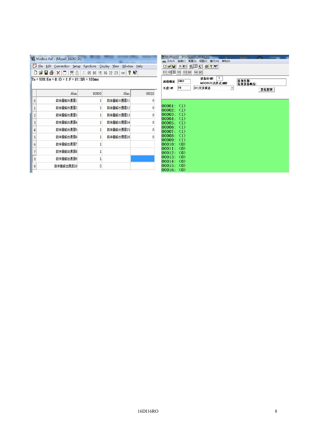| Modbus Poll - [Mbpoll 16DIO 01]                               |                                                  |          |           |       |                                                                                                 |    | ModScan32 - [ModScan32_16DIO_01]<br>帮助(H)<br>■ 文件(F) 连接(C) 配置(S) 视图(V) 窗口(W) |                  |
|---------------------------------------------------------------|--------------------------------------------------|----------|-----------|-------|-------------------------------------------------------------------------------------------------|----|------------------------------------------------------------------------------|------------------|
| File Edit Connection Setup Functions Display View Window Help |                                                  |          |           |       | $\Box \bullet \Box \blacksquare \bullet \blacksquare \bullet \blacksquare \bullet \blacksquare$ |    |                                                                              |                  |
|                                                               |                                                  |          |           |       |                                                                                                 |    | 0000000000                                                                   |                  |
|                                                               | $Tx = 909$ : Err = 0: ID = 1: F = 01: SR = 100ms |          |           |       | 起始地址 0001<br>长度:@                                                                               | 16 | 设备ID 000<br>$\mathbf{1}$<br>MODBUS点样式@0002<br>01:开关状态                        | 查询次数:<br>有效设备响应: |
|                                                               | Alias                                            | 00000    | Alias     | 00010 |                                                                                                 |    |                                                                              | 复位控制             |
| $\mathbf{0}$                                                  | 数字量输出通道1                                         |          | 数字量输出通道11 |       |                                                                                                 |    |                                                                              |                  |
|                                                               | 数字量输出通道2                                         |          | 数字量输出通道12 |       | $00001: \langle 1 \rangle$<br>$00002: \langle 1 \rangle$                                        |    |                                                                              |                  |
|                                                               | 数字量输出通道3                                         |          | 数字量输出通道13 |       | $00003: \langle 1 \rangle$                                                                      |    |                                                                              |                  |
|                                                               | 数字量输出通道4                                         |          | 数字量输出通道14 |       | $00004: \langle 1 \rangle$<br>$00005: \langle 1 \rangle$                                        |    |                                                                              |                  |
|                                                               | 数字量输出通道5                                         |          | 数字量输出通道15 |       | $00006: \langle 1 \rangle$<br>$00007: \langle 1 \rangle$                                        |    |                                                                              |                  |
|                                                               | 数字量输出通道6                                         |          | 数字量输出通道16 |       | $00008: \langle 1 \rangle$<br>$00009: \langle 1 \rangle$                                        |    |                                                                              |                  |
|                                                               | 数字量输出通道7                                         |          |           |       | $00010: \langle 0 \rangle$                                                                      |    |                                                                              |                  |
|                                                               | 数字量输出通道8                                         |          |           |       | 00011: <0><br>00012: <0>                                                                        |    |                                                                              |                  |
| 8                                                             | 数字量输出通道9                                         |          |           |       | 00013:~ <b>0</b><br>$00014: \langle 0 \rangle$                                                  |    |                                                                              |                  |
| $\overline{9}$                                                | 数字量输出通道10                                        | $\Omega$ |           |       | 00015: <0><br>00016: <0>                                                                        |    |                                                                              |                  |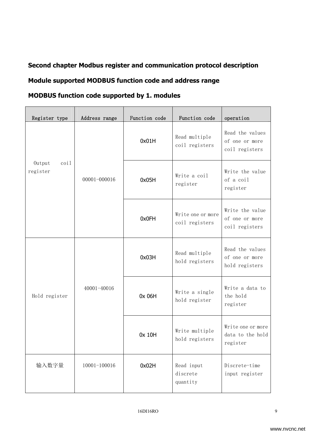# Second chapter Modbus register and communication protocol description Module supported MODBUS function code and address range

#### MODBUS function code supported by 1. modules

| Register type                                  | Address range         | Function code | Function code                       | operation                                           |
|------------------------------------------------|-----------------------|---------------|-------------------------------------|-----------------------------------------------------|
|                                                |                       | 0x01H         | Read multiple<br>coil registers     | Read the values<br>of one or more<br>coil registers |
| Output<br>$\overline{\text{coil}}$<br>register | 00001-000016          | 0x05H         | Write a coil<br>register            | Write the value<br>of a coil<br>register            |
|                                                |                       | 0x0FH         | Write one or more<br>coil registers | Write the value<br>of one or more<br>coil registers |
|                                                |                       | 0x03H         | Read multiple<br>hold registers     | Read the values<br>of one or more<br>hold registers |
| Hold register                                  | 40001-40016           | 0x 06H        | Write a single<br>hold register     | Write a data to<br>the hold<br>register             |
|                                                |                       | 0x 10H        | Write multiple<br>hold registers    | Write one or more<br>data to the hold<br>register   |
| 输入数字量                                          | 10001-100016<br>0x02H |               | Read input<br>discrete<br>quantity  | Discrete-time<br>input register                     |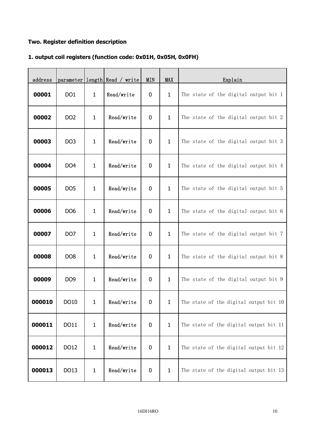#### Two. Register definition description

#### 1. output coil registers (function code: 0x01H, 0x05H, 0x0FH)

| address |                 |              | parameter length Read / write | <b>MIN</b>       | MAX          | Explain                                |
|---------|-----------------|--------------|-------------------------------|------------------|--------------|----------------------------------------|
| 00001   | DO <sub>1</sub> | $\mathbf{1}$ | Read/write                    | $\bf{0}$         | $\mathbf{1}$ | The state of the digital output bit 1  |
| 00002   | DO <sub>2</sub> | $\mathbf{1}$ | Read/write                    | $\bf{0}$         | $\mathbf{1}$ | The state of the digital output bit 2  |
| 00003   | DO <sub>3</sub> | $\mathbf{1}$ | Read/write                    | 0                | $\mathbf{1}$ | The state of the digital output bit 3  |
| 00004   | DO <sub>4</sub> | $\mathbf{1}$ | Read/write                    | $\bf{0}$         | $\mathbf{1}$ | The state of the digital output bit 4  |
| 00005   | DO <sub>5</sub> | $\mathbf{1}$ | Read/write                    | $\bf{0}$         | $\mathbf{1}$ | The state of the digital output bit 5  |
| 00006   | DO <sub>6</sub> | $\mathbf 1$  | Read/write                    | $\bf{0}$         | $\mathbf{1}$ | The state of the digital output bit 6  |
| 00007   | DO <sub>7</sub> | $\mathbf{1}$ | Read/write                    | $\bf{0}$         | $\mathbf{1}$ | The state of the digital output bit 7  |
| 00008   | DO <sub>8</sub> | $\mathbf{1}$ | Read/write                    | $\boldsymbol{0}$ | $\mathbf{1}$ | The state of the digital output bit 8  |
| 00009   | DO <sub>9</sub> | $\mathbf{1}$ | Read/write                    | $\bf{0}$         | $\mathbf{1}$ | The state of the digital output bit 9  |
| 000010  | DO10            | 1.           | Read/write                    | 0                | $1 \quad$    | The state of the digital output bit 10 |
| 000011  | DO11            | $\mathbf{1}$ | Read/write                    | $\bf{0}$         | $\mathbf{1}$ | The state of the digital output bit 11 |
| 000012  | DO12            | $\mathbf{1}$ | Read/write                    | $\bf{0}$         | $\mathbf{1}$ | The state of the digital output bit 12 |
| 000013  | DO13            | $\mathbf{1}$ | Read/write                    | $\bf{0}$         | $\mathbf{1}$ | The state of the digital output bit 13 |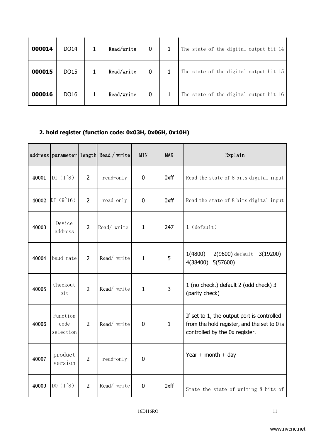| 000014 | DO14 | Read/write | $\overline{0}$ | The state of the digital output bit 14 |
|--------|------|------------|----------------|----------------------------------------|
| 000015 | DO15 | Read/write | $\overline{0}$ | The state of the digital output bit 15 |
| 000016 | DO16 | Read/write | $\mathbf 0$    | The state of the digital output bit 16 |

### 2. hold register (function code: 0x03H, 0x06H, 0x10H)

|       | address parameter             |                | length Read / write | <b>MIN</b>   | <b>MAX</b>   | Explain                                                                                                                     |
|-------|-------------------------------|----------------|---------------------|--------------|--------------|-----------------------------------------------------------------------------------------------------------------------------|
| 40001 | $DI(1^8)$                     | $\overline{2}$ | read-only           | $\mathbf 0$  | 0xff         | Read the state of 8 bits digital input                                                                                      |
| 40002 | $DI(9^16)$                    | $\overline{2}$ | read-only           | $\mathbf 0$  | 0xff         | Read the state of 8 bits digital input                                                                                      |
| 40003 | Device<br>address             | $\overline{2}$ | Read/write          | $\mathbf{1}$ | 247          | $1$ (default)                                                                                                               |
| 40004 | baud rate                     | $\overline{2}$ | Read/write          | $\mathbf{1}$ | 5            | 1(4800)<br>$2(9600)$ default<br>3(19200)<br>4(38400)<br>5(57600)                                                            |
| 40005 | Checkout<br>bit               | $\overline{2}$ | Read/write          | $\mathbf{1}$ | 3            | 1 (no check.) default 2 (odd check) 3<br>(parity check)                                                                     |
| 40006 | Function<br>code<br>selection | $\overline{2}$ | Read/write          | $\mathbf 0$  | $\mathbf{1}$ | If set to 1, the output port is controlled<br>from the hold register, and the set to 0 is<br>controlled by the 0x register. |
| 40007 | product<br>version            | $\overline{2}$ | read-only           | $\mathbf 0$  |              | Year + month + day                                                                                                          |
| 40009 | $D0(1^8)$                     | $\overline{2}$ | Read/write          | $\mathbf 0$  | 0xff         | State the state of writing 8 bits of                                                                                        |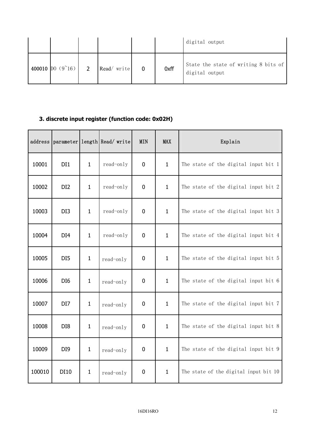|                             |               |            |      | digital output                                         |
|-----------------------------|---------------|------------|------|--------------------------------------------------------|
| 400010 $[00 (9^{\circ}16)]$ | $\mathcal{D}$ | Read/write | 0xff | State the state of writing 8 bits of<br>digital output |

### 3. discrete input register (function code: 0x02H)

| address |                 |              | parameter length Read/write | <b>MIN</b> | <b>MAX</b>   | Explain                               |  |
|---------|-----------------|--------------|-----------------------------|------------|--------------|---------------------------------------|--|
| 10001   | DI1             | $\mathbf{1}$ | read-only                   | 0          | $\mathbf{1}$ | The state of the digital input bit 1  |  |
| 10002   | DI <sub>2</sub> | $\mathbf{1}$ | read-only                   | 0          | $\mathbf{1}$ | The state of the digital input bit 2  |  |
| 10003   | DI3             | $\mathbf{1}$ | read-only                   | 0          | $\mathbf{1}$ | The state of the digital input bit 3  |  |
| 10004   | DI <sub>4</sub> | $\mathbf{1}$ | read-only                   | 0          | $\mathbf{1}$ | The state of the digital input bit 4  |  |
| 10005   | DI <sub>5</sub> | $\mathbf{1}$ | read-only                   | 0          | $\mathbf{1}$ | The state of the digital input bit 5  |  |
| 10006   | DI <sub>6</sub> | $\mathbf{1}$ | read-only                   | 0          | $\mathbf{1}$ | The state of the digital input bit 6  |  |
| 10007   | DI7             | $\mathbf{1}$ | read-only                   | 0          | $\mathbf{1}$ | The state of the digital input bit 7  |  |
| 10008   | DI8             | $\mathbf{1}$ | read-only                   | 0          | $\mathbf{1}$ | The state of the digital input bit 8  |  |
| 10009   | DI <sub>9</sub> | $\mathbf{1}$ | read-only                   | 0          | $\mathbf{1}$ | The state of the digital input bit 9  |  |
| 100010  | DI10            | $\mathbf{1}$ | read-only                   | 0          | $\mathbf{1}$ | The state of the digital input bit 10 |  |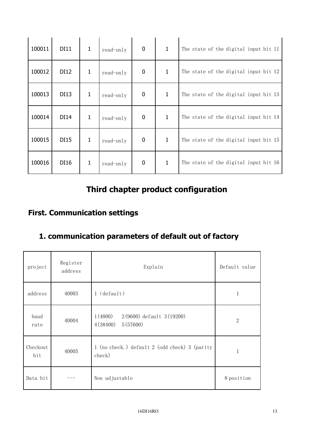| 100011 | <b>DI11</b> | 1 | read-only | $\mathbf 0$      | $\mathbf{1}$ | The state of the digital input bit 11 |
|--------|-------------|---|-----------|------------------|--------------|---------------------------------------|
| 100012 | DI12        | 1 | read-only | $\mathbf 0$      | $\mathbf{1}$ | The state of the digital input bit 12 |
| 100013 | DI13        | 1 | read-only | $\boldsymbol{0}$ | $\mathbf{1}$ | The state of the digital input bit 13 |
| 100014 | DI14        | 1 | read-only | 0                | $\mathbf{1}$ | The state of the digital input bit 14 |
| 100015 | DI15        | 1 | read-only | 0                | 1            | The state of the digital input bit 15 |
| 100016 | DI16        | 1 | read-only | 0                | $\mathbf{1}$ | The state of the digital input bit 16 |

# Third chapter product configuration

## First. Communication settings

### 1. communication parameters of default out of factory

| project         | Register<br>address | Explain                                                     | Default value |
|-----------------|---------------------|-------------------------------------------------------------|---------------|
| address         | 40003               | $1$ (default)                                               | 1             |
| baud<br>rate    | 40004               | 1(4800)<br>2(9600) default 3(19200)<br>4(38400)<br>5(57600) | $\mathbf{2}$  |
| Checkout<br>bit | 40005               | 1 (no check.) default 2 (odd check) 3 (parity<br>check)     | $\mathbf{1}$  |
| Data bit        |                     | Non adjustable                                              | 8 position    |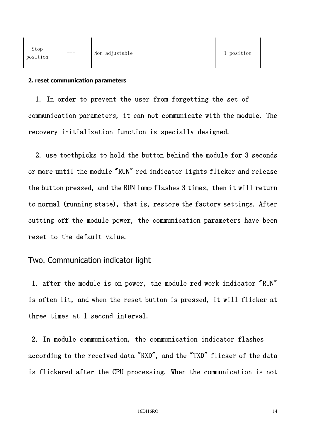#### 2. reset communication parameters

1. In order to prevent the user from forgetting the set of communication parameters, it can not communicate with the module. The recovery initialization function is specially designed.

2. use toothpicks to hold the button behind the module for 3 seconds or more until the module "RUN" red indicator lights flicker and release the button pressed, and the RUN lamp flashes 3 times, then it will return to normal (running state), that is, restore the factory settings. After cutting off the module power, the communication parameters have been reset to the default value.

#### Two. Communication indicator light

1. after the module is on power, the module red work indicator "RUN" is often lit, and when the reset button is pressed, it will flicker at three times at 1 second interval.

2. In module communication, the communication indicator flashes according to the received data "RXD", and the "TXD" flicker of the data is flickered after the CPU processing. When the communication is not